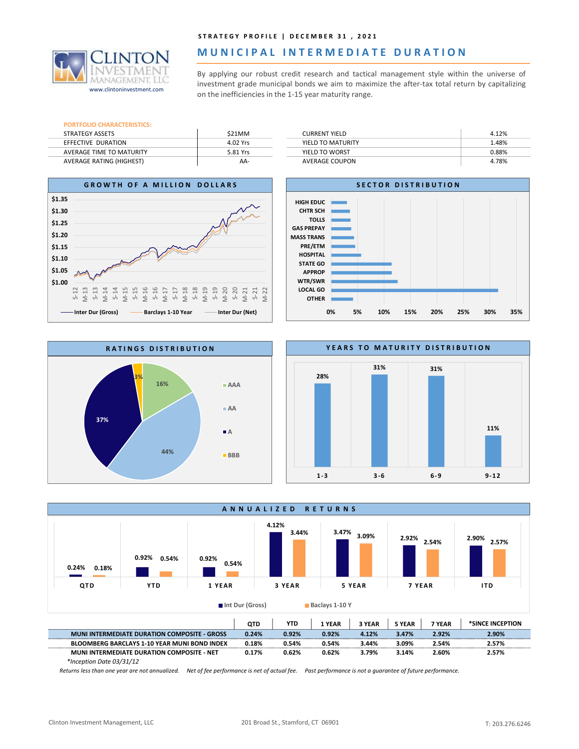

## MUNICIPAL INTERMEDIATE DURATION

STRATEGY PROFILE | DECEMBER 31, 2021<br> **MUNICIPALINTERMEDIATE DURATION**<br>
By applying our robust credit research and tactical management style within the universe of<br>
investment grade municipal bonds we aim to maximize the a STRATEGY PROFILE | DECEMBER 31, 2021<br> **INVERTED BOOK ATTON**<br>
By applying our robust credit research and tactical management style within the universe of<br>
investment grade municipal bonds we aim to maximize the after-tax to STRATEGY PROFILE | DECEMBER 31, 2021<br>
MUNICIPAL INTERMEDIATE DURATION<br>
By applying our robust credit research and tactical management style within the universe of<br>
investment grade municipal bonds we aim to maximize the af STRATEGY PROFILE | DECEMBER 31, 2021<br>
MUNICIPAL INTERMEDIATE DURATION<br>
By applying our robust credit research and tactical management style within the universe of<br>
investment grade municipal bonds we aim to maximize the af www.clintoninvestment.com investment grade municipal bonds we aim to maximize the after-tax total return by capitalizing<br>www.clintoninvestment.com on the inefficiencies in the 1-15 year maturity range.

| <b>PORTFOLIO CHARACTERISTICS:</b> |          |
|-----------------------------------|----------|
| <b>STRATEGY ASSETS</b>            | \$21MM   |
| EFFECTIVE DURATION                | 4.02 Yrs |
| AVERAGE TIME TO MATURITY          | 5.81 Yrs |
| <b>AVERAGE RATING (HIGHEST)</b>   | ΔΔ-      |

| \$21MM   | <b>CURRENT YIELD</b>  | 4.12% |
|----------|-----------------------|-------|
| 4.02 Yrs | YIELD TO MATURITY     | 1.48% |
| 5.81 Yrs | YIELD TO WORST        | 0.88% |
| AA-      | <b>AVERAGE COUPON</b> | 4.78% |











\*Inception Date 03/31/12

Returns less than one year are not annualized. Net of fee performance is net of actual fee. Past performance is not a guarantee of future performance.